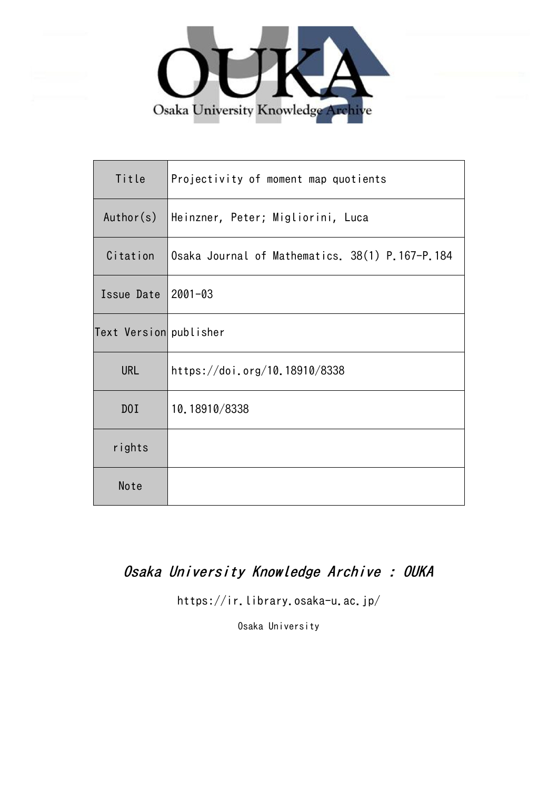

| Title                  | Projectivity of moment map quotients            |
|------------------------|-------------------------------------------------|
| Author(s)              | Heinzner, Peter; Migliorini, Luca               |
| Citation               | Osaka Journal of Mathematics. 38(1) P.167-P.184 |
| Issue Date             | $2001 - 03$                                     |
| Text Version publisher |                                                 |
| <b>URL</b>             | https://doi.org/10.18910/8338                   |
| D0I                    | 10.18910/8338                                   |
| rights                 |                                                 |
| Note                   |                                                 |

# Osaka University Knowledge Archive : OUKA

https://ir.library.osaka-u.ac.jp/

Osaka University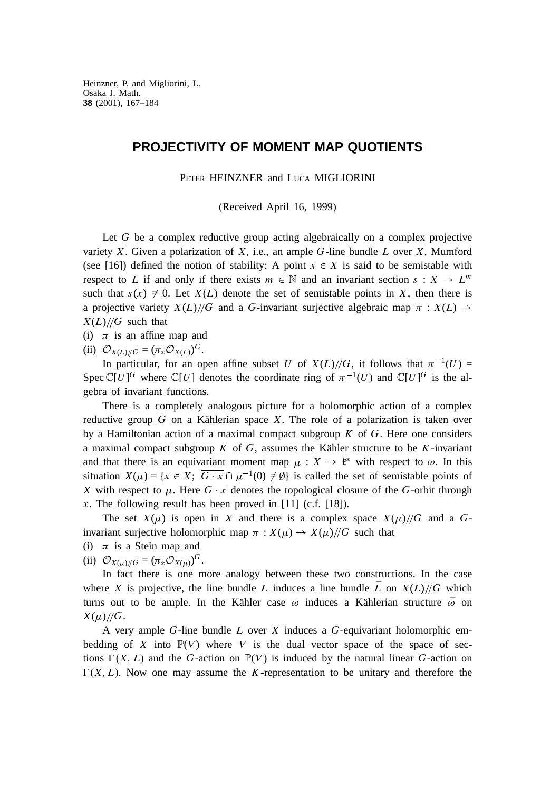# **PROJECTIVITY OF MOMENT MAP QUOTIENTS**

PETER HEINZNER and LUCA MIGLIORINI

(Received April 16, 1999)

Let G be a complex reductive group acting algebraically on a complex projective variety X. Given a polarization of X, i.e., an ample  $G$ -line bundle  $L$  over  $X$ , Mumford (see [16]) defined the notion of stability: A point  $x \in X$  is said to be semistable with respect to L if and only if there exists  $m \in \mathbb{N}$  and an invariant section  $s : X \to L^m$ such that  $s(x) \neq 0$ . Let  $X(L)$  denote the set of semistable points in X, then there is a projective variety  $X(L)/\sqrt{G}$  and a G-invariant surjective algebraic map  $\pi : X(L) \rightarrow$  $X(L)/\sqrt{G}$  such that

(i)  $\pi$  is an affine map and

(ii)  $\mathcal{O}_{X(L)/\!/ G} = (\pi_* \mathcal{O}_{X(L)})^G$ .

In particular, for an open affine subset U of  $X(L)/\!/\!G$ , it follows that  $\pi^{-1}(U)$  = Spec  $\mathbb{C}[U]^G$  where  $\mathbb{C}[U]$  denotes the coordinate ring of  $\pi^{-1}(U)$  and  $\mathbb{C}[U]^G$  is the algebra of invariant functions.

There is a completely analogous picture for a holomorphic action of a complex reductive group  $G$  on a Kählerian space  $X$ . The role of a polarization is taken over by a Hamiltonian action of a maximal compact subgroup  $K$  of  $G$ . Here one considers a maximal compact subgroup  $K$  of  $G$ , assumes the Kähler structure to be  $K$ -invariant and that there is an equivariant moment map  $\mu : X \to \ell^*$  with respect to  $\omega$ . In this situation  $X(\mu) = \{x \in X; \overline{G \cdot x} \cap \mu^{-1}(0) \neq \emptyset\}$  is called the set of semistable points of X with respect to  $\mu$ . Here  $\overline{G \cdot x}$  denotes the topological closure of the G-orbit through x. The following result has been proved in  $[11]$  (c.f.  $[18]$ ).

The set  $X(\mu)$  is open in X and there is a complex space  $X(\mu)/\mathcal{G}$  and a  $G$ invariant surjective holomorphic map  $\pi : X(\mu) \to X(\mu)/\mathcal{G}$  such that

- (i)  $\pi$  is a Stein map and
- (ii)  $\mathcal{O}_{X(\mu)/\!\!/ G} = (\pi_* \mathcal{O}_{X(\mu)})^G$ .

In fact there is one more analogy between these two constructions. In the case where X is projective, the line bundle L induces a line bundle  $\overline{L}$  on  $X(L)/\sqrt{G}$  which turns out to be ample. In the Kähler case  $\omega$  induces a Kählerian structure  $\bar{\omega}$  on  $X(\mu)/\!\!/G$ .

A very ample  $G$ -line bundle  $L$  over  $X$  induces a  $G$ -equivariant holomorphic embedding of X into  $\mathbb{P}(V)$  where V is the dual vector space of the space of sections  $\Gamma(X, L)$  and the G-action on  $\mathbb{P}(V)$  is induced by the natural linear G-action on  $\Gamma(X, L)$ . Now one may assume the K-representation to be unitary and therefore the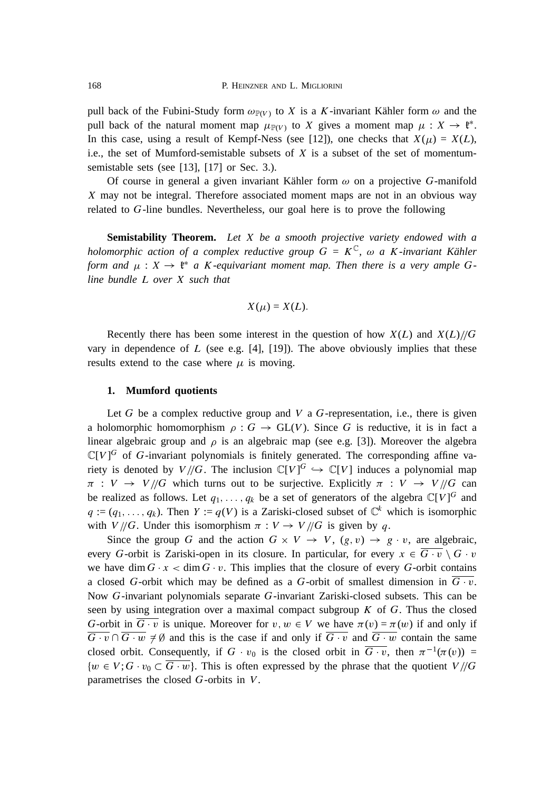pull back of the Fubini-Study form  $\omega_{\mathbb{P}(V)}$  to X is a K-invariant Kähler form  $\omega$  and the pull back of the natural moment map  $\mu_{\mathbb{P}(V)}$  to X gives a moment map  $\mu : X \to \mathfrak{k}^*$ . In this case, using a result of Kempf-Ness (see [12]), one checks that  $X(\mu) = X(L)$ , i.e., the set of Mumford-semistable subsets of  $X$  is a subset of the set of momentumsemistable sets (see [13], [17] or Sec. 3.).

Of course in general a given invariant Kähler form  $\omega$  on a projective G-manifold X may not be integral. Therefore associated moment maps are not in an obvious way related to G-line bundles. Nevertheless, our goal here is to prove the following

**Semistability Theorem.** *Let* X *be a smooth projective variety endowed with a holomorphic action of a complex reductive group*  $G = K^{\mathbb{C}}$ ,  $\omega$  a K-invariant Kähler *form and*  $\mu : X \to \mathfrak{k}^*$  a *K*-equivariant moment map. Then there is a very ample G*line bundle* L *over* X *such that*

$$
X(\mu) = X(L).
$$

Recently there has been some interest in the question of how  $X(L)$  and  $X(L)/\sqrt{G}$ vary in dependence of  $L$  (see e.g. [4], [19]). The above obviously implies that these results extend to the case where  $\mu$  is moving.

# **1. Mumford quotients**

Let G be a complex reductive group and  $V$  a G-representation, i.e., there is given a holomorphic homomorphism  $\rho : G \to GL(V)$ . Since G is reductive, it is in fact a linear algebraic group and  $\rho$  is an algebraic map (see e.g. [3]). Moreover the algebra  $\mathbb{C}[V]^G$  of G-invariant polynomials is finitely generated. The corresponding affine variety is denoted by  $V/\!/ G$ . The inclusion  $\mathbb{C}[V]^G \hookrightarrow \mathbb{C}[V]$  induces a polynomial map  $\pi : V \to V/\!/ G$  which turns out to be surjective. Explicitly  $\pi : V \to V/\!/ G$  can be realized as follows. Let  $q_1, \ldots, q_k$  be a set of generators of the algebra  $\mathbb{C}[V]^G$  and  $q := (q_1, \ldots, q_k)$ . Then  $Y := q(V)$  is a Zariski-closed subset of  $\mathbb{C}^k$  which is isomorphic with  $V/\sqrt{G}$ . Under this isomorphism  $\pi : V \to V/\sqrt{G}$  is given by q.

Since the group G and the action  $G \times V \to V$ ,  $(g, v) \to g \cdot v$ , are algebraic, every G-orbit is Zariski-open in its closure. In particular, for every  $x \in \overline{G \cdot v} \setminus G \cdot v$ we have dim  $G \cdot x < \dim G \cdot v$ . This implies that the closure of every G-orbit contains a closed G-orbit which may be defined as a G-orbit of smallest dimension in  $G \cdot v$ . Now G-invariant polynomials separate G-invariant Zariski-closed subsets. This can be seen by using integration over a maximal compact subgroup  $K$  of  $G$ . Thus the closed G-orbit in  $\overline{G \cdot v}$  is unique. Moreover for  $v, w \in V$  we have  $\pi(v) = \pi(w)$  if and only if  $\overline{G \cdot v} \cap \overline{G \cdot w} \neq \emptyset$  and this is the case if and only if  $\overline{G \cdot v}$  and  $\overline{G \cdot w}$  contain the same closed orbit. Consequently, if  $G \cdot v_0$  is the closed orbit in  $\overline{G \cdot v}$ , then  $\pi^{-1}(\pi(v)) =$  $\{w \in V; G \cdot v_0 \subset G \cdot w\}$ . This is often expressed by the phrase that the quotient  $V/\sqrt{G}$ parametrises the closed G-orbits in V .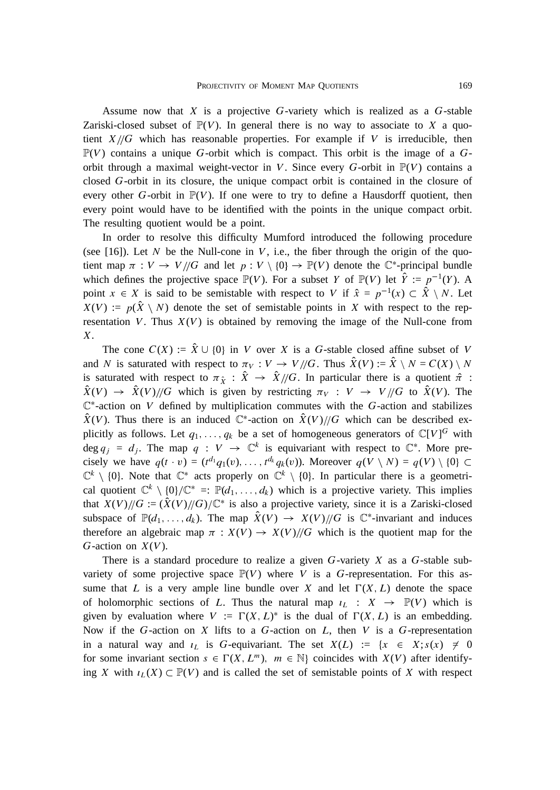Assume now that  $X$  is a projective  $G$ -variety which is realized as a  $G$ -stable Zariski-closed subset of  $\mathbb{P}(V)$ . In general there is no way to associate to X a quotient  $X/\sqrt{G}$  which has reasonable properties. For example if V is irreducible, then  $\mathbb{P}(V)$  contains a unique G-orbit which is compact. This orbit is the image of a Gorbit through a maximal weight-vector in V. Since every G-orbit in  $\mathbb{P}(V)$  contains a closed G-orbit in its closure, the unique compact orbit is contained in the closure of every other G-orbit in  $\mathbb{P}(V)$ . If one were to try to define a Hausdorff quotient, then every point would have to be identified with the points in the unique compact orbit. The resulting quotient would be a point.

In order to resolve this difficulty Mumford introduced the following procedure (see [16]). Let N be the Null-cone in V, i.e., the fiber through the origin of the quotient map  $\pi : V \to V/\!/ G$  and let  $p : V \setminus \{0\} \to \mathbb{P}(V)$  denote the  $\mathbb{C}^*$ -principal bundle which defines the projective space  $\mathbb{P}(V)$ . For a subset Y of  $\mathbb{P}(V)$  let  $\hat{Y} := p^{-1}(Y)$ . A point  $x \in X$  is said to be semistable with respect to V if  $\hat{x} = p^{-1}(x) \subset \hat{X} \setminus N$ . Let  $X(V) := p(\hat{X} \setminus N)$  denote the set of semistable points in X with respect to the representation V. Thus  $X(V)$  is obtained by removing the image of the Null-cone from  $X_{\cdot}$ 

The cone  $C(X) := \hat{X} \cup \{0\}$  in V over X is a G-stable closed affine subset of V and N is saturated with respect to  $\pi_V : V \to V/\!/ G$ . Thus  $\hat{X}(V) := \hat{X} \setminus N = C(X) \setminus N$ is saturated with respect to  $\pi_{\hat{X}}$  :  $\hat{X} \rightarrow \hat{X}/\!/\!G$ . In particular there is a quotient  $\hat{\pi}$  :  $\hat{X}(V) \rightarrow \hat{X}(V)/\!/ G$  which is given by restricting  $\pi_V : V \rightarrow V/\!/ G$  to  $\hat{X}(V)$ . The  $\mathbb{C}^*$ -action on V defined by multiplication commutes with the G-action and stabilizes  $\hat{X}(V)$ . Thus there is an induced  $\mathbb{C}^*$ -action on  $\hat{X}(V)/\!/\!/\tilde{G}$  which can be described explicitly as follows. Let  $q_1, \ldots, q_k$  be a set of homogeneous generators of  $\mathbb{C}[V]^G$  with deg  $q_i = d_i$ . The map  $q : V \to \mathbb{C}^k$  is equivariant with respect to  $\mathbb{C}^*$ . More precisely we have  $q(t \cdot v) = (t^{d_1}q_1(v), \ldots, t^{d_k}q_k(v))$ . Moreover  $q(V \setminus N) = q(V) \setminus \{0\} \subset$  $\mathbb{C}^k \setminus \{0\}$ . Note that  $\mathbb{C}^*$  acts properly on  $\mathbb{C}^k \setminus \{0\}$ . In particular there is a geometrical quotient  $\mathbb{C}^k \setminus \{0\}/\mathbb{C}^* =: \mathbb{P}(d_1, \ldots, d_k)$  which is a projective variety. This implies that  $X(V)/\!/ G := (\hat{X}(V)/\!/ G)/\mathbb{C}^*$  is also a projective variety, since it is a Zariski-closed subspace of  $\mathbb{P}(d_1,\ldots,d_k)$ . The map  $\hat{X}(V) \to X(V)/\!/ G$  is  $\mathbb{C}^*$ -invariant and induces therefore an algebraic map  $\pi : X(V) \to X(V)/\!/ G$  which is the quotient map for the G-action on  $X(V)$ .

There is a standard procedure to realize a given  $G$ -variety  $X$  as a  $G$ -stable subvariety of some projective space  $\mathbb{P}(V)$  where V is a G-representation. For this assume that L is a very ample line bundle over X and let  $\Gamma(X, L)$  denote the space of holomorphic sections of L. Thus the natural map  $L : X \rightarrow \mathbb{P}(V)$  which is given by evaluation where  $V := \Gamma(X, L)^*$  is the dual of  $\Gamma(X, L)$  is an embedding. Now if the G-action on X lifts to a G-action on  $L$ , then V is a G-representation in a natural way and  $i_L$  is G-equivariant. The set  $X(L) := \{x \in X; s(x) \neq 0\}$ for some invariant section  $s \in \Gamma(X, L^m)$ ,  $m \in \mathbb{N}$  coincides with  $X(V)$  after identifying X with  $\iota_L(X) \subset \mathbb{P}(V)$  and is called the set of semistable points of X with respect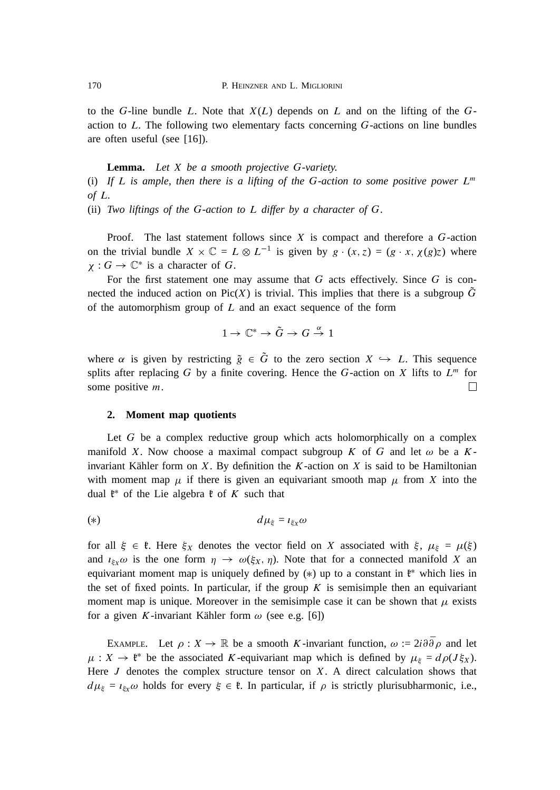to the G-line bundle L. Note that  $X(L)$  depends on L and on the lifting of the Gaction to  $L$ . The following two elementary facts concerning  $G$ -actions on line bundles are often useful (see [16]).

**Lemma.** *Let* X *be a smooth projective* G*-variety.* (i) If L is ample, then there is a lifting of the G-action to some positive power  $L^m$ *of* L*.*

(ii) *Two liftings of the* G*-action to* L *differ by a character of* G*.*

Proof. The last statement follows since  $X$  is compact and therefore a  $G$ -action on the trivial bundle  $X \times \mathbb{C} = L \otimes L^{-1}$  is given by  $g \cdot (x, z) = (g \cdot x, \chi(g)z)$  where  $\chi : G \to \mathbb{C}^*$  is a character of G.

For the first statement one may assume that  $G$  acts effectively. Since  $G$  is connected the induced action on Pic(X) is trivial. This implies that there is a subgroup  $\tilde{G}$ of the automorphism group of  $L$  and an exact sequence of the form

$$
1 \to \mathbb{C}^* \to \tilde{G} \to G \stackrel{\alpha}{\to} 1
$$

where  $\alpha$  is given by restricting  $\tilde{g} \in \tilde{G}$  to the zero section  $X \hookrightarrow L$ . This sequence splits after replacing G by a finite covering. Hence the G-action on X lifts to  $L^m$  for some positive m.  $\Box$ 

#### **2. Moment map quotients**

Let  $G$  be a complex reductive group which acts holomorphically on a complex manifold X. Now choose a maximal compact subgroup K of G and let  $\omega$  be a Kinvariant Kähler form on  $X$ . By definition the  $K$ -action on  $X$  is said to be Hamiltonian with moment map  $\mu$  if there is given an equivariant smooth map  $\mu$  from X into the dual  $\mathfrak{k}^*$  of the Lie algebra  $\mathfrak{k}$  of K such that

(\*)  $d\mu_{\xi} = i_{\xi x} \omega$ 

for all  $\xi \in \mathfrak{k}$ . Here  $\xi_X$  denotes the vector field on X associated with  $\xi$ ,  $\mu_{\xi} = \mu(\xi)$ and  $i_{\xi_x} \omega$  is the one form  $\eta \to \omega(\xi_X, \eta)$ . Note that for a connected manifold X an equivariant moment map is uniquely defined by  $(*)$  up to a constant in  $\mathfrak{k}^*$  which lies in the set of fixed points. In particular, if the group  $K$  is semisimple then an equivariant moment map is unique. Moreover in the semisimple case it can be shown that  $\mu$  exists for a given K-invariant Kähler form  $\omega$  (see e.g. [6])

EXAMPLE. Let  $\rho : X \to \mathbb{R}$  be a smooth K-invariant function,  $\omega := 2i \partial \overline{\partial} \rho$  and let  $\mu : X \to \ell^*$  be the associated K-equivariant map which is defined by  $\mu_{\xi} = d\rho(J\xi_X)$ . Here  $J$  denotes the complex structure tensor on  $X$ . A direct calculation shows that  $d\mu_{\xi} = i_{\xi x} \omega$  holds for every  $\xi \in \mathfrak{k}$ . In particular, if  $\rho$  is strictly plurisubharmonic, i.e.,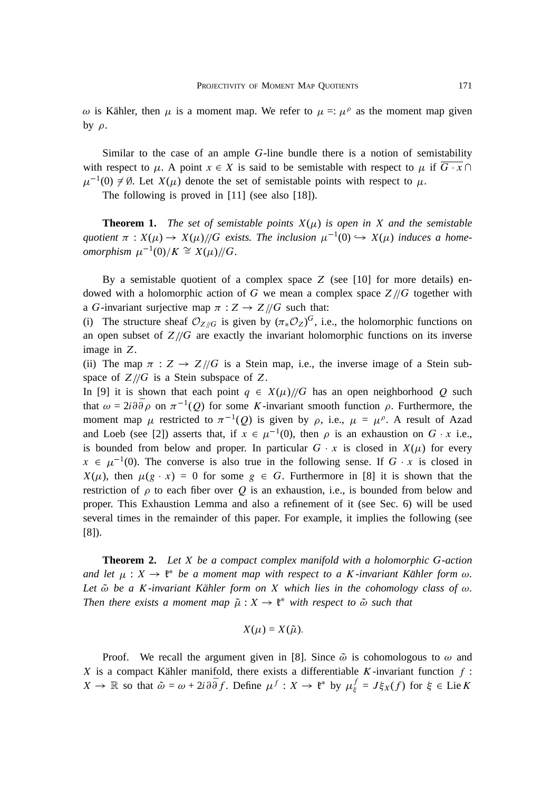$\omega$  is Kähler, then  $\mu$  is a moment map. We refer to  $\mu =:\mu^{\rho}$  as the moment map given by  $\rho$ .

Similar to the case of an ample G-line bundle there is a notion of semistability with respect to  $\mu$ . A point  $x \in X$  is said to be semistable with respect to  $\mu$  if  $\overline{G \cdot x} \cap$  $\mu^{-1}(0) \neq \emptyset$ . Let  $X(\mu)$  denote the set of semistable points with respect to  $\mu$ .

The following is proved in [11] (see also [18]).

**Theorem 1.** *The set of semistable points*  $X(\mu)$  *is open in* X *and the semistable* quotient  $\pi: X(\mu) \to X(\mu)/\!\!/ G$  exists. The inclusion  $\mu^{-1}(0) \hookrightarrow X(\mu)$  induces a home*omorphism*  $\mu^{-1}(0)/K \cong X(\mu)/G$ .

By a semistable quotient of a complex space  $Z$  (see [10] for more details) endowed with a holomorphic action of G we mean a complex space  $Z/\sqrt{G}$  together with a G-invariant surjective map  $\pi : Z \rightarrow Z/\!/ G$  such that:

(i) The structure sheaf  $\mathcal{O}_{Z/\!/G}$  is given by  $(\pi_* \mathcal{O}_Z)^G$ , i.e., the holomorphic functions on an open subset of  $Z/\sqrt{G}$  are exactly the invariant holomorphic functions on its inverse image in Z.

(ii) The map  $\pi : Z \to Z/\sqrt{G}$  is a Stein map, i.e., the inverse image of a Stein subspace of  $Z/\!/G$  is a Stein subspace of Z.

In [9] it is shown that each point  $q \in X(\mu)/\mathcal{G}$  has an open neighborhood Q such that  $\omega = 2i \partial \bar{\partial} \rho$  on  $\pi^{-1}(Q)$  for some K-invariant smooth function  $\rho$ . Furthermore, the moment map  $\mu$  restricted to  $\pi^{-1}(Q)$  is given by  $\rho$ , i.e.,  $\mu = \mu^{\rho}$ . A result of Azad and Loeb (see [2]) asserts that, if  $x \in \mu^{-1}(0)$ , then  $\rho$  is an exhaustion on G x i.e., is bounded from below and proper. In particular  $G \cdot x$  is closed in  $X(\mu)$  for every  $x \in \mu^{-1}(0)$ . The converse is also true in the following sense. If G x is closed in  $X(\mu)$ , then  $\mu(g \cdot x) = 0$  for some  $g \in G$ . Furthermore in [8] it is shown that the restriction of  $\rho$  to each fiber over Q is an exhaustion, i.e., is bounded from below and proper. This Exhaustion Lemma and also a refinement of it (see Sec. 6) will be used several times in the remainder of this paper. For example, it implies the following (see [8]).

**Theorem 2.** *Let* X *be a compact complex manifold with a holomorphic* G*-action* and let  $\mu : X \to \mathfrak{k}^*$  be a moment map with respect to a K-invariant Kähler form  $\omega$ . *Let*  $\tilde{\omega}$  *be a* K-invariant Kähler form on X which lies in the cohomology class of  $\omega$ *. Then there exists a moment map*  $\tilde{\mu}: X \to \mathfrak{k}^*$  with respect to  $\tilde{\omega}$  such that

$$
X(\mu)=X(\tilde{\mu}).
$$

Proof. We recall the argument given in [8]. Since  $\tilde{\omega}$  is cohomologous to  $\omega$  and X is a compact Kähler manifold, there exists a differentiable K-invariant function  $f$ :  $X \to \mathbb{R}$  so that  $\tilde{\omega} = \omega + 2i \partial \bar{\partial} f$ . Define  $\mu^f : X \to \mathfrak{k}^*$  by  $\mu^f_{\xi} = J \xi_X(f)$  for  $\xi \in \text{Lie } K$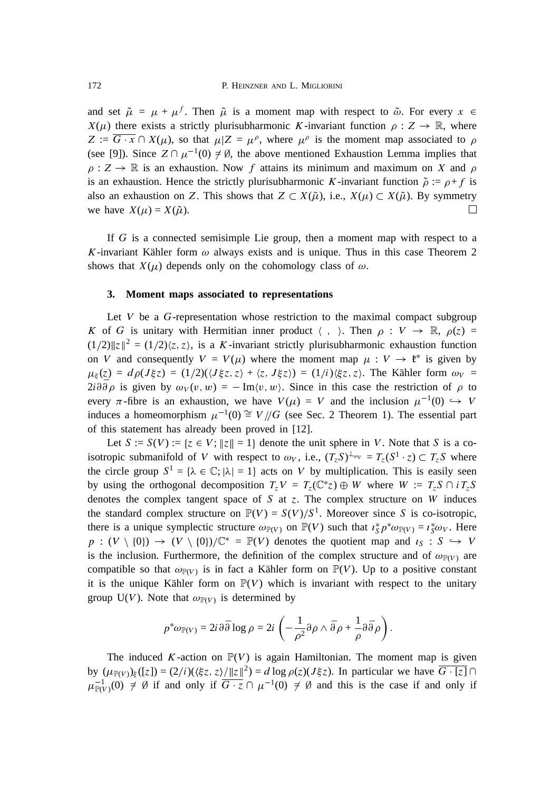and set  $\tilde{\mu} = \mu + \mu^f$ . Then  $\tilde{\mu}$  is a moment map with respect to  $\tilde{\omega}$ . For every  $x \in$  $X(\mu)$  there exists a strictly plurisubharmonic K-invariant function  $\rho : Z \to \mathbb{R}$ , where  $Z := \overline{G \cdot x} \cap X(\mu)$ , so that  $\mu | Z = \mu^{\rho}$ , where  $\mu^{\rho}$  is the moment map associated to  $\rho$ (see [9]). Since  $Z \cap \mu^{-1}(0) \neq \emptyset$ , the above mentioned Exhaustion Lemma implies that  $\rho: Z \to \mathbb{R}$  is an exhaustion. Now f attains its minimum and maximum on X and  $\rho$ is an exhaustion. Hence the strictly plurisubharmonic K-invariant function  $\tilde{\rho} := \rho + f$  is also an exhaustion on Z. This shows that  $Z \subset X(\tilde{\mu})$ , i.e.,  $X(\mu) \subset X(\tilde{\mu})$ . By symmetry □ we have  $X(\mu) = X(\tilde{\mu})$ .

If G is a connected semisimple Lie group, then a moment map with respect to a K-invariant Kähler form  $\omega$  always exists and is unique. Thus in this case Theorem 2 shows that  $X(\mu)$  depends only on the cohomology class of  $\omega$ .

#### **3. Moment maps associated to representations**

Let  $V$  be a  $G$ -representation whose restriction to the maximal compact subgroup K of G is unitary with Hermitian inner product  $\langle , \rangle$ . Then  $\rho : V \to \mathbb{R}$ ,  $\rho(z) =$  $(1/2)\|z\|^2 = (1/2)\langle z, z\rangle$ , is a K-invariant strictly plurisubharmonic exhaustion function on V and consequently  $V = V(\mu)$  where the moment map  $\mu : V \to \mathfrak{k}^*$  is given by  $\mu_{\xi}(z) = d\rho(J\xi z) = (1/2)((J\xi z, z) + \langle z, J\xi z \rangle) = (1/i)(\xi z, z)$ . The Kähler form  $\omega_V =$  $2i \partial \bar{\partial} \rho$  is given by  $\omega_V(v, w) = -\text{Im}\langle v, w \rangle$ . Since in this case the restriction of  $\rho$  to every  $\pi$ -fibre is an exhaustion, we have  $V(\mu) = V$  and the inclusion  $\mu^{-1}(0) \hookrightarrow V$ induces a homeomorphism  $\mu^{-1}(0) \cong V/\!/ G$  (see Sec. 2 Theorem 1). The essential part of this statement has already been proved in [12].

Let  $S := S(V) := \{z \in V : ||z|| = 1\}$  denote the unit sphere in V. Note that S is a coisotropic submanifold of V with respect to  $\omega_V$ , i.e.,  $(T_z S)^{\perp_{\omega_V}} = T_z (S^1 \cdot z) \subset T_z S$  where the circle group  $S^1 = {\lambda \in \mathbb{C}}; |\lambda| = 1$  acts on V by multiplication. This is easily seen by using the orthogonal decomposition  $T_z V = T_z(\mathbb{C}^*z) \oplus W$  where  $W := T_z S \cap i T_z S$ denotes the complex tangent space of S at z. The complex structure on W induces the standard complex structure on  $\mathbb{P}(V) = S(V)/S^1$ . Moreover since S is co-isotropic, there is a unique symplectic structure  $\omega_{\mathbb{P}(V)}$  on  $\mathbb{P}(V)$  such that  $i_S^* p^* \omega_{\mathbb{P}(V)} = i_S^* \omega_V$ . Here  $p : (V \setminus \{0\}) \to (V \setminus \{0\})/\mathbb{C}^* = \mathbb{P}(V)$  denotes the quotient map and  $i_S : S \hookrightarrow V$ is the inclusion. Furthermore, the definition of the complex structure and of  $\omega_{\mathbb{P}(V)}$  are compatible so that  $\omega_{\mathbb{P}(V)}$  is in fact a Kähler form on  $\mathbb{P}(V)$ . Up to a positive constant it is the unique Kähler form on  $\mathbb{P}(V)$  which is invariant with respect to the unitary group U(V). Note that  $\omega_{\mathbb{P}(V)}$  is determined by

$$
p^*\omega_{\mathbb{P}(V)} = 2i \,\partial \bar{\partial} \log \rho = 2i \left( -\frac{1}{\rho^2} \partial \rho \wedge \bar{\partial} \rho + \frac{1}{\rho} \partial \bar{\partial} \rho \right).
$$

The induced K-action on  $\mathbb{P}(V)$  is again Hamiltonian. The moment map is given by  $(\mu_{\mathbb{P}(V)})_{\xi}([z]) = (2/i)((\xi z, z)/||z||^2) = d \log \rho(z)(J \xi z)$ . In particular we have  $\overline{G \cdot [z]} \cap$  $\mu_{\mathbb{P}(V)}^{-1}(0) \neq \emptyset$  if and only if  $\overline{G \cdot z} \cap \mu^{-1}(0) \neq \emptyset$  and this is the case if and only if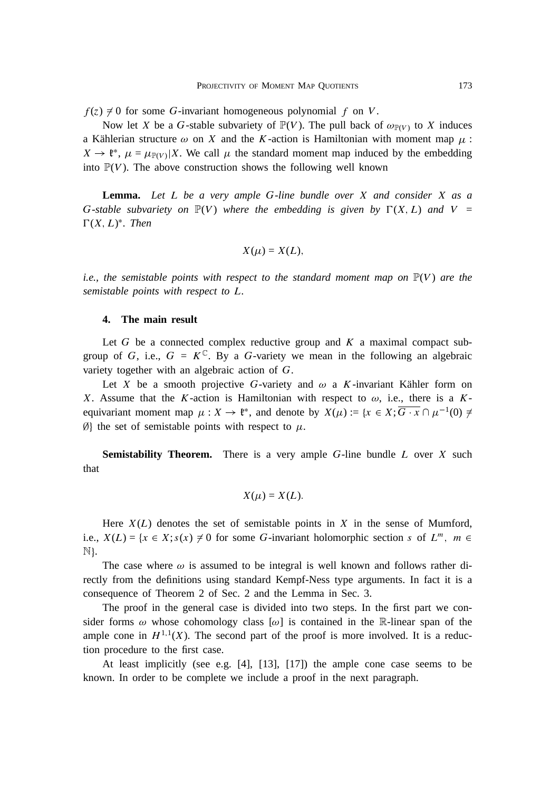$f(z) \neq 0$  for some G-invariant homogeneous polynomial f on V.

Now let X be a G-stable subvariety of  $\mathbb{P}(V)$ . The pull back of  $\omega_{\mathbb{P}(V)}$  to X induces a Kählerian structure  $\omega$  on X and the K-action is Hamiltonian with moment map  $\mu$ :  $X \to \ell^*, \mu = \mu_{\mathbb{P}(V)} | X$ . We call  $\mu$  the standard moment map induced by the embedding into  $\mathbb{P}(V)$ . The above construction shows the following well known

**Lemma.** *Let* L *be a very ample* G*-line bundle over* X *and consider* X *as a* G-stable subvariety on  $\mathbb{P}(V)$  where the embedding is given by  $\Gamma(X, L)$  and  $V =$  $\Gamma(X, L)^*$ . Then

$$
X(\mu) = X(L),
$$

*i.e., the semistable points with respect to the standard moment map on*  $\mathbb{P}(V)$  *are the semistable points with respect to* L*.*

# **4. The main result**

Let G be a connected complex reductive group and  $K$  a maximal compact subgroup of G, i.e.,  $G = K^{\mathbb{C}}$ . By a G-variety we mean in the following an algebraic variety together with an algebraic action of G.

Let X be a smooth projective G-variety and  $\omega$  a K-invariant Kähler form on X. Assume that the K-action is Hamiltonian with respect to  $\omega$ , i.e., there is a Kequivariant moment map  $\mu : X \to \mathfrak{k}^*$ , and denote by  $X(\mu) := \{x \in X; \overline{G \cdot x} \cap \mu^{-1}(0) \neq 0\}$  $\emptyset$ } the set of semistable points with respect to  $\mu$ .

**Semistability Theorem.** There is a very ample G-line bundle L over X such that

$$
X(\mu) = X(L).
$$

Here  $X(L)$  denotes the set of semistable points in X in the sense of Mumford, i.e.,  $X(L) = \{x \in X; s(x) \neq 0 \text{ for some } G\text{-invariant holomorphic section } s \text{ of } L^m, m \in$  $\mathbb{N}$ .

The case where  $\omega$  is assumed to be integral is well known and follows rather directly from the definitions using standard Kempf-Ness type arguments. In fact it is a consequence of Theorem 2 of Sec. 2 and the Lemma in Sec. 3.

The proof in the general case is divided into two steps. In the first part we consider forms  $\omega$  whose cohomology class  $[\omega]$  is contained in the R-linear span of the ample cone in  $H^{1,1}(X)$ . The second part of the proof is more involved. It is a reduction procedure to the first case.

At least implicitly (see e.g. [4], [13], [17]) the ample cone case seems to be known. In order to be complete we include a proof in the next paragraph.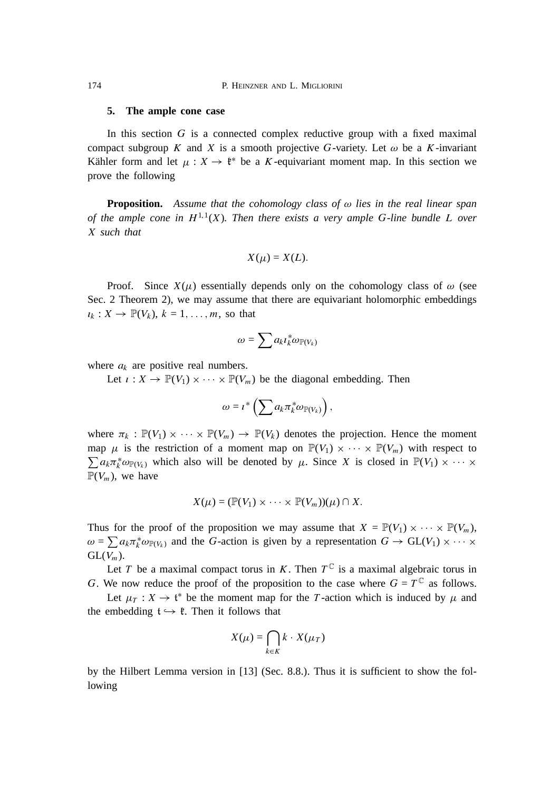174 P. HEINZNER AND L. MIGLIORINI

#### **5. The ample cone case**

In this section  $G$  is a connected complex reductive group with a fixed maximal compact subgroup K and X is a smooth projective G-variety. Let  $\omega$  be a K-invariant Kähler form and let  $\mu : X \to \mathfrak{k}^*$  be a K-equivariant moment map. In this section we prove the following

**Proposition.** Assume that the cohomology class of  $\omega$  lies in the real linear span *of the ample cone in*  $H^{1,1}(X)$ *. Then there exists a very ample G-line bundle L over* X *such that*

$$
X(\mu) = X(L).
$$

Proof. Since  $X(\mu)$  essentially depends only on the cohomology class of  $\omega$  (see Sec. 2 Theorem 2), we may assume that there are equivariant holomorphic embeddings  $i_k : X \to \mathbb{P}(V_k)$ ,  $k = 1, \ldots, m$ , so that

$$
\omega = \sum a_k \iota_k^* \omega_{\mathbb{P}(V_k)}
$$

where  $a_k$  are positive real numbers.

Let  $\iota : X \to \mathbb{P}(V_1) \times \cdots \times \mathbb{P}(V_m)$  be the diagonal embedding. Then

$$
\omega = \iota^* \left( \sum a_k \pi_k^* \omega_{\mathbb{P}(V_k)} \right),
$$

where  $\pi_k : \mathbb{P}(V_1) \times \cdots \times \mathbb{P}(V_m) \to \mathbb{P}(V_k)$  denotes the projection. Hence the moment map  $\mu$  is the restriction of a moment map on  $\mathbb{P}(V_1) \times \cdots \times \mathbb{P}(V_m)$  with respect to  $\sum a_k \pi_k^* \omega_{\mathbb{P}(V_k)}$  which also will be denoted by  $\mu$ . Since X is closed in  $\mathbb{P}(V_1) \times \cdots \times$  $\mathbb{P}(V_m)$ , we have

$$
X(\mu)=(\mathbb{P}(V_1)\times\cdots\times\mathbb{P}(V_m))(\mu)\cap X.
$$

Thus for the proof of the proposition we may assume that  $X = \mathbb{P}(V_1) \times \cdots \times \mathbb{P}(V_m)$ ,  $\omega = \sum a_k \pi_k^* \omega_{\mathbb{P}(V_k)}$  and the G-action is given by a representation  $G \to GL(V_1) \times \cdots \times$  $GL(V_m)$ .

Let T be a maximal compact torus in K. Then  $T^{\mathbb{C}}$  is a maximal algebraic torus in G. We now reduce the proof of the proposition to the case where  $G = T^{\mathbb{C}}$  as follows.

Let  $\mu_T : X \to \mathfrak{t}^*$  be the moment map for the T-action which is induced by  $\mu$  and the embedding  $t \hookrightarrow \ell$ . Then it follows that

$$
X(\mu) = \bigcap_{k \in K} k \cdot X(\mu_T)
$$

by the Hilbert Lemma version in [13] (Sec. 8.8.). Thus it is sufficient to show the following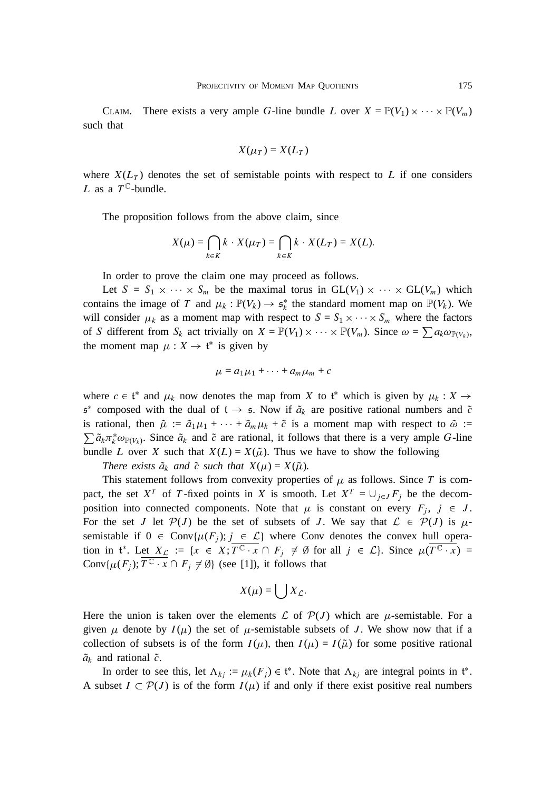CLAIM. There exists a very ample G-line bundle L over  $X = \mathbb{P}(V_1) \times \cdots \times \mathbb{P}(V_m)$ such that

$$
X(\mu_T) = X(L_T)
$$

where  $X(L_T)$  denotes the set of semistable points with respect to L if one considers L as a  $T^{\mathbb{C}}$ -bundle.

The proposition follows from the above claim, since

$$
X(\mu) = \bigcap_{k \in K} k \cdot X(\mu_T) = \bigcap_{k \in K} k \cdot X(L_T) = X(L).
$$

In order to prove the claim one may proceed as follows.

Let  $S = S_1 \times \cdots \times S_m$  be the maximal torus in  $GL(V_1) \times \cdots \times GL(V_m)$  which contains the image of T and  $\mu_k : \mathbb{P}(V_k) \to \mathfrak{s}_k^*$  the standard moment map on  $\mathbb{P}(V_k)$ . We will consider  $\mu_k$  as a moment map with respect to  $S = S_1 \times \cdots \times S_m$  where the factors of S different from  $S_k$  act trivially on  $X = \mathbb{P}(V_1) \times \cdots \times \mathbb{P}(V_m)$ . Since  $\omega = \sum a_k \omega_{\mathbb{P}(V_k)}$ , the moment map  $\mu : X \to \mathfrak{t}^*$  is given by

$$
\mu = a_1 \mu_1 + \cdots + a_m \mu_m + c
$$

where  $c \in \mathfrak{t}^*$  and  $\mu_k$  now denotes the map from X to  $\mathfrak{t}^*$  which is given by  $\mu_k : X \to Y$  $\mathfrak{s}^*$  composed with the dual of  $\mathfrak{t} \to \mathfrak{s}$ . Now if  $\tilde{a}_k$  are positive rational numbers and  $\tilde{c}$ is rational, then  $\tilde{\mu} := \tilde{a}_1 \mu_1 + \cdots + \tilde{a}_m \mu_k + \tilde{c}$  is a moment map with respect to  $\tilde{\omega}$  :=  $\sum \tilde{a}_k \pi_k^* \omega_{\mathbb{P}(V_k)}$ . Since  $\tilde{a}_k$  and  $\tilde{c}$  are rational, it follows that there is a very ample G-line bundle L over X such that  $X(L) = X(\tilde{\mu})$ . Thus we have to show the following

*There exists*  $\tilde{a}_k$  *and*  $\tilde{c}$  *such that*  $X(\mu) = X(\tilde{\mu})$ *.* 

This statement follows from convexity properties of  $\mu$  as follows. Since T is compact, the set X<sup>T</sup> of T-fixed points in X is smooth. Let  $X^T = \bigcup_{j \in J} F_j$  be the decomposition into connected components. Note that  $\mu$  is constant on every  $F_i$ ,  $j \in J$ . For the set J let  $\mathcal{P}(J)$  be the set of subsets of J. We say that  $\mathcal{L} \in \mathcal{P}(J)$  is  $\mu$ semistable if  $0 \in \text{Conv}\{\mu(F_j); j \in \mathcal{L}\}\$  where Conv denotes the convex hull operation in  $f^*$ . Let  $X_{\mathcal{L}} := \{x \in X; \overline{T^{\mathbb{C}} \cdot x} \cap F_j \neq \emptyset \text{ for all } j \in \mathcal{L}\}\$ . Since  $\mu(\overline{T^{\mathbb{C}} \cdot x}) =$ Conv $\{\mu(F_i); \overline{T^{\mathbb{C}} \cdot x} \cap F_i \neq \emptyset\}$  (see [1]), it follows that

$$
X(\mu) = \bigcup X_{\mathcal{L}}.
$$

Here the union is taken over the elements  $\mathcal L$  of  $\mathcal P(J)$  which are  $\mu$ -semistable. For a given  $\mu$  denote by  $I(\mu)$  the set of  $\mu$ -semistable subsets of J. We show now that if a collection of subsets is of the form  $I(\mu)$ , then  $I(\mu) = I(\tilde{\mu})$  for some positive rational  $\tilde{a}_k$  and rational  $\tilde{c}$ .

In order to see this, let  $\Lambda_{kj} := \mu_k(F_j) \in \mathfrak{t}^*$ . Note that  $\Lambda_{kj}$  are integral points in  $\mathfrak{t}^*$ . A subset  $I \subset \mathcal{P}(J)$  is of the form  $I(\mu)$  if and only if there exist positive real numbers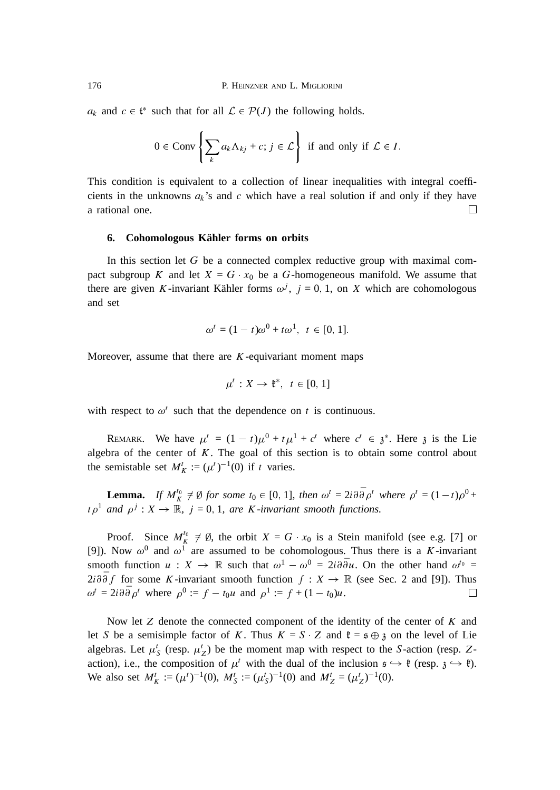$a_k$  and  $c \in \mathfrak{t}^*$  such that for all  $\mathcal{L} \in \mathcal{P}(J)$  the following holds.

$$
0 \in \text{Conv}\left\{\sum_{k} a_{k} \Lambda_{kj} + c; j \in \mathcal{L}\right\} \text{ if and only if } \mathcal{L} \in I.
$$

This condition is equivalent to a collection of linear inequalities with integral coefficients in the unknowns  $a_k$ 's and c which have a real solution if and only if they have  $\Box$ a rational one.

## **6. Cohomologous Kahler forms on orbits ¨**

In this section let  $G$  be a connected complex reductive group with maximal compact subgroup K and let  $X = G \cdot x_0$  be a G-homogeneous manifold. We assume that there are given K-invariant Kähler forms  $\omega^j$ ,  $j = 0, 1$ , on X which are cohomologous and set

$$
\omega^{t} = (1 - t)\omega^{0} + t\omega^{1}, \ t \in [0, 1].
$$

Moreover, assume that there are  $K$ -equivariant moment maps

$$
\mu^t: X \to \mathfrak{k}^*, \ t \in [0, 1]
$$

with respect to  $\omega^t$  such that the dependence on t is continuous.

REMARK. We have  $\mu^t = (1 - t)\mu^0 + t\mu^1 + c^t$  where  $c^t \in \mathfrak{z}^*$ . Here  $\mathfrak{z}$  is the Lie algebra of the center of  $K$ . The goal of this section is to obtain some control about the semistable set  $M_K^t := (\mu^t)^{-1}(0)$  if t varies.

**Lemma.** If  $M_K^{t_0} \neq \emptyset$  for some  $t_0 \in [0, 1]$ , then  $\omega^t = 2i \partial \overline{\partial} \rho^t$  where  $\rho^t = (1-t)\rho^0 +$  $t \rho^1$  and  $\rho^j : X \to \mathbb{R}$ ,  $j = 0, 1$ , are *K*-invariant smooth functions.

Proof. Since  $M_K^{t_0} \neq \emptyset$ , the orbit  $X = G \cdot x_0$  is a Stein manifold (see e.g. [7] or [9]). Now  $\omega^0$  and  $\omega^1$  are assumed to be cohomologous. Thus there is a K-invariant smooth function  $u : X \to \mathbb{R}$  such that  $\omega^1 - \omega^0 = 2i \partial \overline{\partial} u$ . On the other hand  $\omega^{t_0} =$  $2i \partial \overline{\partial} f$  for some K-invariant smooth function  $f : X \to \mathbb{R}$  (see Sec. 2 and [9]). Thus  $\omega^t = 2i \partial \bar{\partial} \rho^t$  where  $\rho^0 := f - t_0 u$  and  $\rho^1 := f + (1 - t_0) u$ .  $\Box$ 

Now let  $Z$  denote the connected component of the identity of the center of  $K$  and let S be a semisimple factor of K. Thus  $K = S \cdot Z$  and  $\mathfrak{k} = \mathfrak{s} \oplus \mathfrak{z}$  on the level of Lie algebras. Let  $\mu_S^t$  (resp.  $\mu_Z^t$ ) be the moment map with respect to the S-action (resp. Zaction), i.e., the composition of  $\mu^t$  with the dual of the inclusion  $\mathfrak{s} \hookrightarrow \mathfrak{k}$  (resp.  $\mathfrak{z} \hookrightarrow \mathfrak{k}$ ). We also set  $M_K^t := (\mu^t)^{-1}(0)$ ,  $M_S^t := (\mu_S^t)^{-1}(0)$  and  $M_Z^t = (\mu_Z^t)^{-1}(0)$ .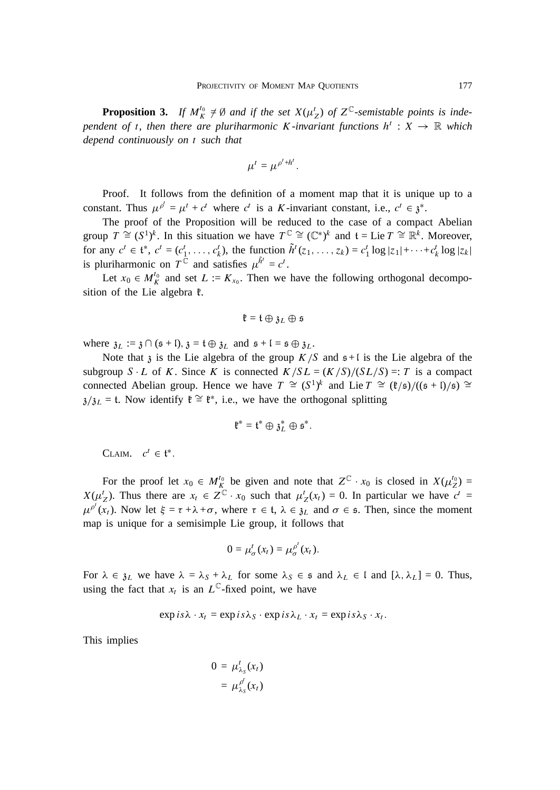**Proposition 3.** If  $M_K^{t_0} \neq \emptyset$  and if the set  $X(\mu_Z^t)$  of  $Z^{\mathbb{C}}$ -semistable points is independent of t, then there are pluriharmonic K-invariant functions  $h^t : X \to \mathbb{R}$  which *depend continuously on* t *such that*

$$
\mu^t = \mu^{\rho^t + h^t}.
$$

Proof. It follows from the definition of a moment map that it is unique up to a constant. Thus  $\mu^{\rho'} = \mu^t + c^t$  where  $c^t$  is a K-invariant constant, i.e.,  $c^t \in \mathfrak{z}^*$ .

The proof of the Proposition will be reduced to the case of a compact Abelian group  $T \cong (S^1)^k$ . In this situation we have  $T^{\mathbb{C}} \cong (\mathbb{C}^*)^k$  and  $\mathfrak{t} = \text{Lie } T \cong \mathbb{R}^k$ . Moreover, for any  $c^t \in \mathfrak{t}^*, c^t = (c_1^t, \ldots, c_k^t)$ , the function  $\tilde{h}^t(z_1, \ldots, z_k) = c_1^t \log |z_1| + \cdots + c_k^t \log |z_k|$ is pluriharmonic on  $T^{\tilde{C}}$  and satisfies  $\mu^{\tilde{h}'} = c^{t}$ .

Let  $x_0 \in M_K^{t_0}$  and set  $L := K_{x_0}$ . Then we have the following orthogonal decomposition of the Lie algebra  $\ell$ .

$$
\mathfrak{k}=\mathfrak{t}\oplus\mathfrak{z}_L\oplus\mathfrak{s}
$$

where  $\mathfrak{z}_L := \mathfrak{z} \cap (\mathfrak{s} + \mathfrak{l}), \mathfrak{z} = \mathfrak{t} \oplus \mathfrak{z}_L$  and  $\mathfrak{s} + \mathfrak{l} = \mathfrak{s} \oplus \mathfrak{z}_L$ .

Note that  $\lambda$  is the Lie algebra of the group  $K/S$  and  $s+1$  is the Lie algebra of the subgroup S L of K. Since K is connected  $K/SL = (K/S)/(SL/S) =: T$  is a compact connected Abelian group. Hence we have  $T \cong (S^1)^k$  and Lie  $T \cong (\ell/\mathfrak{s})/((\mathfrak{s} + \mathfrak{l})/\mathfrak{s}) \cong$  $\lambda/\lambda_L = t$ . Now identify  $\mathfrak{k} \cong \mathfrak{k}^*$ , i.e., we have the orthogonal splitting

$$
\mathfrak{k}^*=\mathfrak{t}^*\oplus \mathfrak{z}_L^*\oplus \mathfrak{s}^*.
$$

CLAIM.  $c^t \in \mathfrak{t}^*$ 

For the proof let  $x_0 \in M_K^{t_0}$  be given and note that  $Z^{\mathbb{C}} \cdot x_0$  is closed in  $X(\mu_Z^{t_0}) =$  $X(\mu_Z^t)$ . Thus there are  $x_t \in Z^{\mathbb{C}}$   $x_0$  such that  $\mu_Z^t(x_t) = 0$ . In particular we have  $c^t =$  $\mu^{\rho'}(x_t)$ . Now let  $\xi = \tau + \lambda + \sigma$ , where  $\tau \in \mathfrak{t}$ ,  $\lambda \in \mathfrak{z}_L$  and  $\sigma \in \mathfrak{s}$ . Then, since the moment map is unique for a semisimple Lie group, it follows that

$$
0=\mu_{\sigma}^{t}(x_{t})=\mu_{\sigma}^{\rho^{t}}(x_{t}).
$$

For  $\lambda \in \mathfrak{z}_L$  we have  $\lambda = \lambda_S + \lambda_L$  for some  $\lambda_S \in \mathfrak{s}$  and  $\lambda_L \in \mathfrak{l}$  and  $[\lambda, \lambda_L] = 0$ . Thus, using the fact that  $x_t$  is an  $L^{\mathbb{C}}$ -fixed point, we have

$$
\exp is\lambda \quad x_t = \exp is\lambda_S \quad \exp is\lambda_L \quad x_t = \exp is\lambda_S \quad x_t.
$$

This implies

$$
0 = \mu_{\lambda_s}^t(x_t)
$$

$$
= \mu_{\lambda_s}^{\rho^t}(x_t)
$$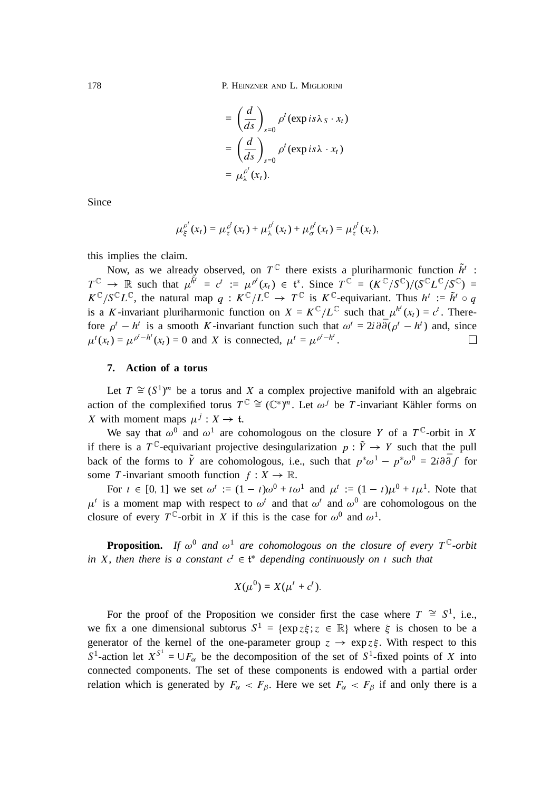178 P. HEINZNER AND L. MIGLIORINI

$$
= \left(\frac{d}{ds}\right)_{s=0} \rho^{t}(\exp is\lambda_{S} \cdot x_{t})
$$

$$
= \left(\frac{d}{ds}\right)_{s=0} \rho^{t}(\exp is\lambda \cdot x_{t})
$$

$$
= \mu_{\lambda}^{\rho^{t}}(x_{t}).
$$

Since

$$
\mu_{\xi}^{\rho'}(x_t) = \mu_{\tau}^{\rho'}(x_t) + \mu_{\lambda}^{\rho'}(x_t) + \mu_{\sigma}^{\rho'}(x_t) = \mu_{\tau}^{\rho'}(x_t),
$$

this implies the claim.

Now, as we already observed, on  $T^{\mathbb{C}}$  there exists a pluriharmonic function  $\tilde{h}^{t}$ :  $T^{\mathbb{C}} \to \mathbb{R}$  such that  $\mu^{\tilde{h}'} = c^t := \mu^{\rho'}(x_t) \in \mathfrak{t}^*$ . Since  $T^{\mathbb{C}} = (K^{\mathbb{C}}/S^{\mathbb{C}})/(S^{\mathbb{C}}L^{\mathbb{C}}/S^{\mathbb{C}}) =$  $K^{\mathbb{C}}/S^{\mathbb{C}}L^{\mathbb{C}}$ , the natural map  $q: K^{\mathbb{C}}/L^{\mathbb{C}} \to T^{\mathbb{C}}$  is  $K^{\mathbb{C}}$ -equivariant. Thus  $h^t := \tilde{h}^t \circ q$ is a K-invariant pluriharmonic function on  $X = K^{\mathbb{C}} / L^{\mathbb{C}}$  such that  $\mu^{h'}(x_t) = c^t$ . Therefore  $\rho^t - h^t$  is a smooth K-invariant function such that  $\omega^t = 2i \partial \overline{\partial}(\rho^t - h^t)$  and, since П  $\mu^{t}(x_t) = \mu^{\rho^{t} - h^{t}}(x_t) = 0$  and X is connected,  $\mu^{t} = \mu^{\rho^{t} - h^{t}}$ .

# **7. Action of a torus**

Let  $T \cong (S^1)^m$  be a torus and X a complex projective manifold with an algebraic action of the complexified torus  $T^{\mathbb{C}} \cong (\mathbb{C}^*)^m$ . Let  $\omega^j$  be T-invariant Kähler forms on X with moment maps  $\mu^{j}: X \to \mathfrak{t}.$ 

We say that  $\omega^0$  and  $\omega^1$  are cohomologous on the closure Y of a T<sup>C</sup>-orbit in X if there is a  $T^{\mathbb{C}}$ -equivariant projective desingularization  $p : \tilde{Y} \to Y$  such that the pull back of the forms to  $\tilde{Y}$  are cohomologous, i.e., such that  $p^*\omega^1 - p^*\omega^0 = 2i \partial \bar{\partial} f$  for some T-invariant smooth function  $f : X \to \mathbb{R}$ .

For  $t \in [0, 1]$  we set  $\omega^t := (1 - t)\omega^0 + t\omega^1$  and  $\mu^t := (1 - t)\mu^0 + t\mu^1$ . Note that  $\mu^t$  is a moment map with respect to  $\omega^t$  and that  $\omega^t$  and  $\omega^0$  are cohomologous on the closure of every  $T^{\mathbb{C}}$ -orbit in X if this is the case for  $\omega^0$  and  $\omega^1$ .

**Proposition.** If  $\omega^0$  and  $\omega^1$  are cohomologous on the closure of every  $T^{\mathbb{C}}$ -orbit in *X*, then there is a constant  $c^t \in \mathfrak{t}^*$  depending continuously on t such that

$$
X(\mu^0) = X(\mu^t + c^t).
$$

For the proof of the Proposition we consider first the case where  $T \cong S^1$ , i.e., we fix a one dimensional subtorus  $S^1 = {\exp z \xi; z \in \mathbb{R}}$  where  $\xi$  is chosen to be a generator of the kernel of the one-parameter group  $z \rightarrow \exp z \xi$ . With respect to this S<sup>1</sup>-action let  $X^{S^1} = \bigcup F_\alpha$  be the decomposition of the set of S<sup>1</sup>-fixed points of X into connected components. The set of these components is endowed with a partial order relation which is generated by  $F_{\alpha} < F_{\beta}$ . Here we set  $F_{\alpha} < F_{\beta}$  if and only there is a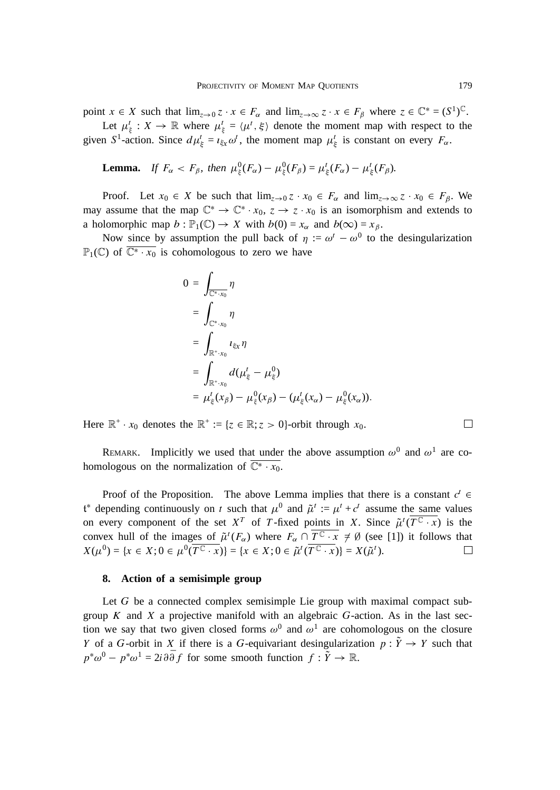point  $x \in X$  such that  $\lim_{z \to 0} z \cdot x \in F_\alpha$  and  $\lim_{z \to \infty} z \cdot x \in F_\beta$  where  $z \in \mathbb{C}^* = (S^1)^\mathbb{C}$ .

Let  $\mu_{\xi}^t : X \to \mathbb{R}$  where  $\mu_{\xi}^t = \langle \mu^t, \xi \rangle$  denote the moment map with respect to the given S<sup>1</sup>-action. Since  $d\mu_{\xi}^{t} = i_{\xi x} \omega^{t}$ , the moment map  $\mu_{\xi}^{t}$  is constant on every  $F_{\alpha}$ .

. .

**Lemma.** If 
$$
F_{\alpha} < F_{\beta}
$$
, then  $\mu_{\xi}^{0}(F_{\alpha}) - \mu_{\xi}^{0}(F_{\beta}) = \mu_{\xi}^{t}(F_{\alpha}) - \mu_{\xi}^{t}(F_{\beta})$ .

Proof. Let  $x_0 \in X$  be such that  $\lim_{z\to 0} z \cdot x_0 \in F_\alpha$  and  $\lim_{z\to \infty} z \cdot x_0 \in F_\beta$ . We may assume that the map  $\mathbb{C}^* \to \mathbb{C}^* \cdot x_0$ ,  $z \to z \cdot x_0$  is an isomorphism and extends to a holomorphic map  $b : \mathbb{P}_1(\mathbb{C}) \to X$  with  $b(0) = x_\alpha$  and  $b(\infty) = x_\beta$ .

Now since by assumption the pull back of  $\eta := \omega^t - \omega^0$  to the desingularization  $\mathbb{P}_1(\mathbb{C})$  of  $\overline{\mathbb{C}^* \cdot x_0}$  is cohomologous to zero we have

$$
0 = \int_{\overline{\mathbb{C}^* \cdot x_0}} \eta
$$
  
= 
$$
\int_{\mathbb{C}^* \cdot x_0} \eta
$$
  
= 
$$
\int_{\mathbb{R}^+ \cdot x_0} \iota_{\xi_X} \eta
$$
  
= 
$$
\int_{\mathbb{R}^+ \cdot x_0} d(\mu_{\xi}^t - \mu_{\xi}^0)
$$
  
= 
$$
\mu_{\xi}^t(x_\beta) - \mu_{\xi}^0(x_\beta) - (\mu_{\xi}^t(x_\alpha) - \mu_{\xi}^0(x_\alpha)).
$$

Here  $\mathbb{R}^+ \cdot x_0$  denotes the  $\mathbb{R}^+ := \{z \in \mathbb{R}; z > 0\}$ -orbit through  $x_0$ .

REMARK. Implicitly we used that under the above assumption  $\omega^0$  and  $\omega^1$  are cohomologous on the normalization of  $\overline{C^* \cdot x_0}$ .

Proof of the Proposition. The above Lemma implies that there is a constant  $c^t \in$  $\mathfrak{t}^*$  depending continuously on t such that  $\mu^0$  and  $\tilde{\mu}^t := \mu^t + c^t$  assume the same values on every component of the set  $X^T$  of T-fixed points in X. Since  $\tilde{\mu}^t(\overline{T^C \cdot x})$  is the convex hull of the images of  $\tilde{\mu}^t(F_\alpha)$  where  $F_\alpha \cap \overline{T^{\mathbb{C}} \cdot x} \neq \emptyset$  (see [1]) it follows that  $X(\mu^{0}) = \{x \in X; 0 \in \mu^{0}(\overline{T^{C} \cdot x})\} = \{x \in X; 0 \in \tilde{\mu}^{t}(\overline{T^{C} \cdot x})\} = X(\tilde{\mu}^{t}).$  $\Box$ 

#### **8. Action of a semisimple group**

Let G be a connected complex semisimple Lie group with maximal compact subgroup  $K$  and  $X$  a projective manifold with an algebraic  $G$ -action. As in the last section we say that two given closed forms  $\omega^0$  and  $\omega^1$  are cohomologous on the closure Y of a G-orbit in X if there is a G-equivariant desingularization  $p : \tilde{Y} \to Y$  such that  $p^*\omega^0 - p^*\omega^1 = 2i\partial\bar{\partial}f$  for some smooth function  $f: \tilde{Y} \to \mathbb{R}$ .

 $\Box$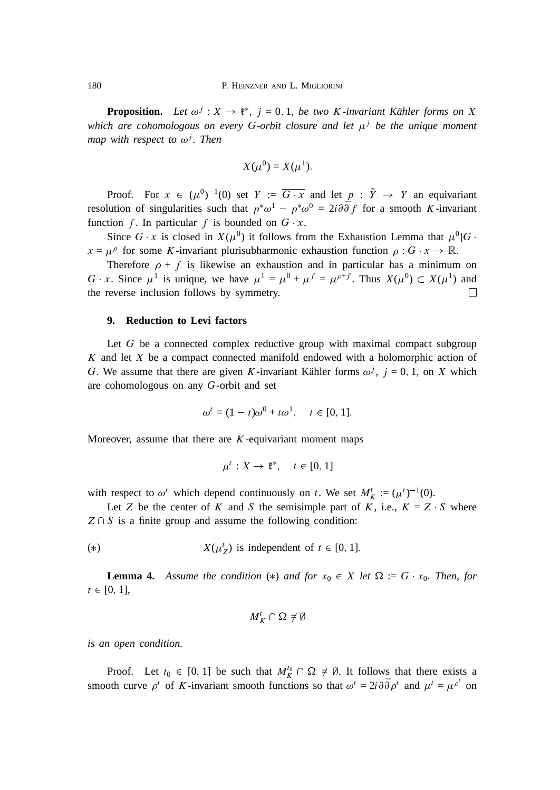**Proposition.** Let  $\omega^j : X \to \mathfrak{k}^*$ ,  $j = 0, 1$ , be two K-invariant Kähler forms on X *which are cohomologous on every* G*-orbit closure and let* j *be the unique moment map with respect to*  $\omega^{j}$ *. Then* 

$$
X(\mu^0) = X(\mu^1).
$$

Proof. For  $x \in (\mu^0)^{-1}(0)$  set  $Y := \overline{G \cdot x}$  and let  $p : \tilde{Y} \to Y$  an equivariant resolution of singularities such that  $p^*\omega^1 - p^*\omega^0 = 2i\partial\bar{\partial}f$  for a smooth K-invariant function f. In particular f is bounded on  $G \cdot x$ .

Since G x is closed in  $X(\mu^0)$  it follows from the Exhaustion Lemma that  $\mu^0|G$ .  $x = \mu^{\rho}$  for some K-invariant plurisubharmonic exhaustion function  $\rho : G \to \mathbb{R}$ .

Therefore  $\rho + f$  is likewise an exhaustion and in particular has a minimum on G x. Since  $\mu^1$  is unique, we have  $\mu^1 = \mu^0 + \mu^f = \mu^{\rho+f}$ . Thus  $X(\mu^0) \subset X(\mu^1)$  and the reverse inclusion follows by symmetry.  $\Box$ 

### **9. Reduction to Levi factors**

Let  $G$  be a connected complex reductive group with maximal compact subgroup  $K$  and let  $X$  be a compact connected manifold endowed with a holomorphic action of G. We assume that there are given K-invariant Kähler forms  $\omega^j$ ,  $j = 0, 1$ , on X which are cohomologous on any G-orbit and set

$$
\omega^t = (1 - t)\omega^0 + t\omega^1, \quad t \in [0, 1].
$$

Moreover, assume that there are  $K$ -equivariant moment maps

$$
\mu^t: X \to \mathfrak{k}^*, \quad t \in [0, 1]
$$

with respect to  $\omega^t$  which depend continuously on t. We set  $M_K^t := (\mu^t)^{-1}(0)$ .

Let Z be the center of K and S the semisimple part of K, i.e.,  $K = Z \cdot S$  where  $Z \cap S$  is a finite group and assume the following condition:

(\*) 
$$
X(\mu_Z^t)
$$
 is independent of  $t \in [0, 1]$ .

**Lemma 4.** Assume the condition (\*) and for  $x_0 \in X$  let  $\Omega := G \cdot x_0$ . Then, for  $t \in [0, 1]$ ,

$$
M_K^t\cap\Omega\neq\emptyset
$$

*is an open condition.*

Proof. Let  $t_0 \in [0, 1]$  be such that  $M_K^{t_0} \cap \Omega \neq \emptyset$ . It follows that there exists a smooth curve  $\rho^t$  of K-invariant smooth functions so that  $\omega^t = 2i \partial \bar{\partial} \rho^t$  and  $\mu^t = \mu^{\rho^t}$  on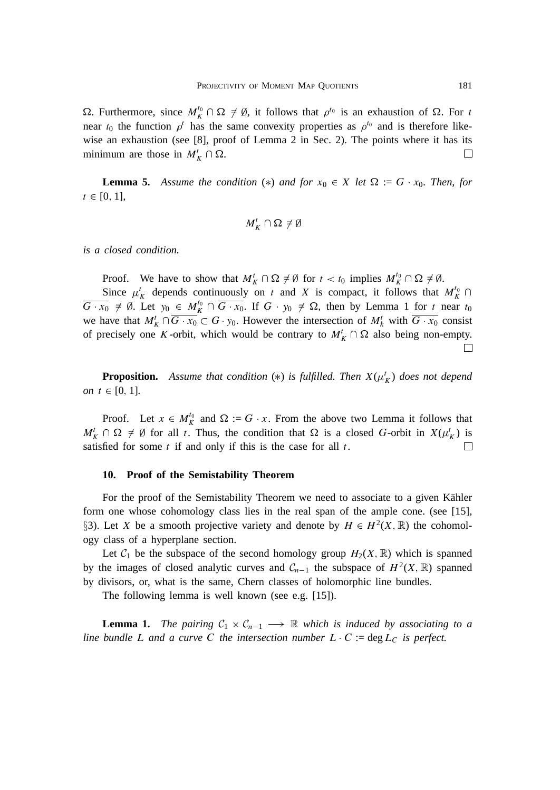$\Omega$ . Furthermore, since  $M_K^{\tau_0} \cap \Omega \neq \emptyset$ , it follows that  $\rho^{\tau_0}$  is an exhaustion of  $\Omega$ . For t near  $t_0$  the function  $\rho^t$  has the same convexity properties as  $\rho^{t_0}$  and is therefore likewise an exhaustion (see [8], proof of Lemma 2 in Sec. 2). The points where it has its minimum are those in  $M_K^t \cap \Omega$ .  $\Box$ 

**Lemma 5.** Assume the condition (\*) and for  $x_0 \in X$  let  $\Omega := G \cdot x_0$ . Then, for  $t \in [0, 1]$ ,

$$
M_K^t\cap\Omega\neq\emptyset
$$

*is a closed condition.*

Proof. We have to show that  $M_K^t \cap \Omega \neq \emptyset$  for  $t < t_0$  implies  $M_K^{t_0} \cap \Omega \neq \emptyset$ .

Since  $\mu_K^t$  depends continuously on t and X is compact, it follows that  $M_K^{t_0} \cap$  $G \cdot x_0 \neq \emptyset$ . Let  $y_0 \in M_K^{t_0} \cap G \cdot x_0$ . If  $G \cdot y_0 \neq \Omega$ , then by Lemma 1 for t near  $t_0$ we have that  $M_K^t \cap G \cdot x_0 \subset G \cdot y_0$ . However the intersection of  $M_K^t$  with  $G \cdot x_0$  consist of precisely one K-orbit, which would be contrary to  $M_K^t \cap \Omega$  also being non-empty. П

**Proposition.** Assume that condition  $(*)$  is fulfilled. Then  $X(\mu_K^t)$  does not depend *on*  $t \in [0, 1]$ *.* 

Proof. Let  $x \in M_K^0$  and  $\Omega := G \cdot x$ . From the above two Lemma it follows that  $M_K^t \cap \Omega \neq \emptyset$  for all t. Thus, the condition that  $\Omega$  is a closed G-orbit in  $X(\mu_K^t)$  is satisfied for some  $t$  if and only if this is the case for all  $t$ .  $\Box$ 

### **10. Proof of the Semistability Theorem**

For the proof of the Semistability Theorem we need to associate to a given Kähler form one whose cohomology class lies in the real span of the ample cone. (see [15], §3). Let X be a smooth projective variety and denote by  $H \in H^2(X,\mathbb{R})$  the cohomology class of a hyperplane section.

Let  $C_1$  be the subspace of the second homology group  $H_2(X, \mathbb{R})$  which is spanned by the images of closed analytic curves and  $C_{n-1}$  the subspace of  $H^2(X,\mathbb{R})$  spanned by divisors, or, what is the same, Chern classes of holomorphic line bundles.

The following lemma is well known (see e.g. [15]).

**Lemma 1.** The pairing  $C_1 \times C_{n-1} \longrightarrow \mathbb{R}$  which is induced by associating to a *line bundle* L and a curve C the intersection number L  $\cdot$  C := deg L<sub>C</sub> is perfect.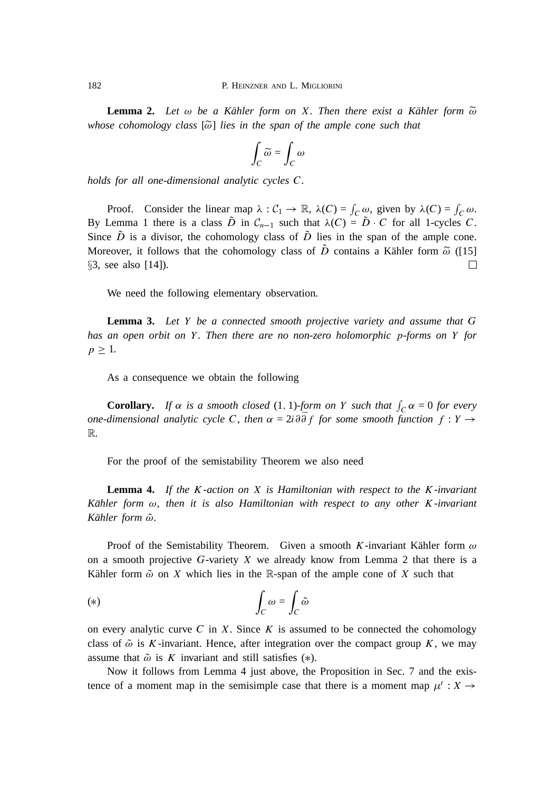**Lemma 2.** Let  $\omega$  be a Kähler form on X. Then there exist a Kähler form  $\widetilde{\omega}$ *whose cohomology class* [ $\tilde{\omega}$ ] *lies in the span of the ample cone such that* 

$$
\int_C \widetilde{\omega} = \int_C \omega
$$

*holds for all one-dimensional analytic cycles* C*.*

Proof. Consider the linear map  $\lambda : C_1 \to \mathbb{R}$ ,  $\lambda(C) = \int_C \omega$ , given by  $\lambda(C) = \int_C \omega$ . By Lemma 1 there is a class  $\tilde{D}$  in  $C_{n-1}$  such that  $\lambda(C) = \tilde{D} \cdot C$  for all 1-cycles C. Since  $\tilde{D}$  is a divisor, the cohomology class of  $\tilde{D}$  lies in the span of the ample cone. Moreover, it follows that the cohomology class of  $\tilde{D}$  contains a Kähler form  $\tilde{\omega}$  ([15] §3, see also [14]). □

We need the following elementary observation.

**Lemma 3.** *Let* Y *be a connected smooth projective variety and assume that* G *has an open orbit on* Y *. Then there are no non-zero holomorphic* p*-forms on* Y *for*  $p \geq 1$ .

As a consequence we obtain the following

**Corollary.** If  $\alpha$  is a smooth closed (1, 1)-form on Y such that  $\int_C \alpha = 0$  for every *one-dimensional analytic cycle C, then*  $\alpha = 2i \partial \overline{\partial} f$  *for some smooth function*  $f : Y \rightarrow$ R*.*

For the proof of the semistability Theorem we also need

**Lemma 4.** *If the* K*-action on* X *is Hamiltonian with respect to the* K*-invariant Kähler form*  $\omega$ , then it is also Hamiltonian with respect to any other K-invariant *Kähler form*  $\tilde{\omega}$ *.* 

Proof of the Semistability Theorem. Given a smooth K-invariant Kähler form  $\omega$ on a smooth projective  $G$ -variety  $X$  we already know from Lemma 2 that there is a Kähler form  $\tilde{\omega}$  on X which lies in the R-span of the ample cone of X such that

$$
(*)\qquad \qquad \int_C \omega = \int_C \tilde{\omega}
$$

on every analytic curve  $C$  in  $X$ . Since  $K$  is assumed to be connected the cohomology class of  $\tilde{\omega}$  is K-invariant. Hence, after integration over the compact group K, we may assume that  $\tilde{\omega}$  is K invariant and still satisfies (\*).

Now it follows from Lemma 4 just above, the Proposition in Sec. 7 and the existence of a moment map in the semisimple case that there is a moment map  $\mu^t : X \to$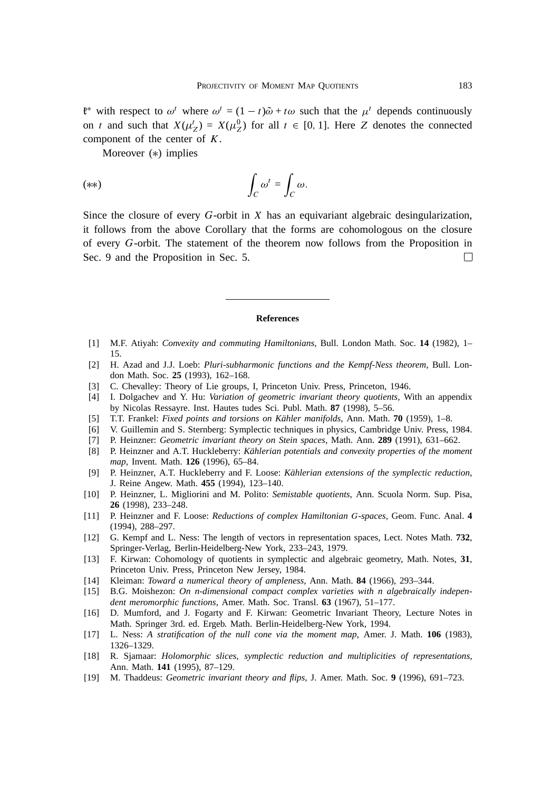$\mathfrak{k}^*$  with respect to  $\omega^t$  where  $\omega^t = (1 - t)\tilde{\omega} + t\omega$  such that the  $\mu^t$  depends continuously on t and such that  $X(\mu_Z^t) = X(\mu_Z^0)$  for all  $t \in [0, 1]$ . Here Z denotes the connected component of the center of  $K$ .

Moreover  $(*)$  implies

$$
(**)\qquad \qquad \int_C \omega^t = \int_C \omega.
$$

Since the closure of every  $G$ -orbit in  $X$  has an equivariant algebraic desingularization, it follows from the above Corollary that the forms are cohomologous on the closure of every <sup>G</sup>-orbit. The statement of the theorem now follows from the Proposition in Sec. 9 and the Proposition in Sec. 5. П

#### **References**

- [1] M.F. Atiyah: *Convexity and commuting Hamiltonians*, Bull. London Math. Soc. **14** (1982), 1– 15.
- [2] H. Azad and J.J. Loeb: *Pluri-subharmonic functions and the Kempf-Ness theorem*, Bull. London Math. Soc. **25** (1993), 162–168.
- [3] C. Chevalley: Theory of Lie groups, I, Princeton Univ. Press, Princeton, 1946.
- [4] I. Dolgachev and Y. Hu: *Variation of geometric invariant theory quotients*, With an appendix by Nicolas Ressayre. Inst. Hautes tudes Sci. Publ. Math. **87** (1998), 5–56.
- [5] T.T. Frankel: *Fixed points and torsions on Kähler manifolds*, Ann. Math. **70** (1959), 1–8.
- [6] V. Guillemin and S. Sternberg: Symplectic techniques in physics, Cambridge Univ. Press, 1984.
- [7] P. Heinzner: *Geometric invariant theory on Stein spaces*, Math. Ann. **289** (1991), 631–662.
- [8] P. Heinzner and A.T. Huckleberry: *Kahlerian potentials and convexity properties of the moment ¨ map*, Invent. Math. **126** (1996), 65–84.
- [9] P. Heinzner, A.T. Huckleberry and F. Loose: *Kählerian extensions of the symplectic reduction*, J. Reine Angew. Math. **455** (1994), 123–140.
- [10] P. Heinzner, L. Migliorini and M. Polito: *Semistable quotients*, Ann. Scuola Norm. Sup. Pisa, **26** (1998), 233–248.
- [11] P. Heinzner and F. Loose: *Reductions of complex Hamiltonian* <sup>G</sup>*-spaces*, Geom. Func. Anal. **4** (1994), 288–297.
- [12] G. Kempf and L. Ness: The length of vectors in representation spaces, Lect. Notes Math. **732**, Springer-Verlag, Berlin-Heidelberg-New York, 233–243, 1979.
- [13] F. Kirwan: Cohomology of quotients in symplectic and algebraic geometry, Math. Notes, **31**, Princeton Univ. Press, Princeton New Jersey, 1984.
- [14] Kleiman: *Toward a numerical theory of ampleness*, Ann. Math. **84** (1966), 293–344.
- [15] B.G. Moishezon: *On n-dimensional compact complex varieties with n algebraically independent meromorphic functions*, Amer. Math. Soc. Transl. **63** (1967), 51–177.
- [16] D. Mumford, and J. Fogarty and F. Kirwan: Geometric Invariant Theory, Lecture Notes in Math. Springer 3rd. ed. Ergeb. Math. Berlin-Heidelberg-New York, 1994.
- [17] L. Ness: *A stratification of the null cone via the moment map*, Amer. J. Math. **106** (1983), 1326–1329.
- [18] R. Sjamaar: *Holomorphic slices, symplectic reduction and multiplicities of representations*, Ann. Math. **141** (1995), 87–129.
- [19] M. Thaddeus: *Geometric invariant theory and flips*, J. Amer. Math. Soc. **9** (1996), 691–723.